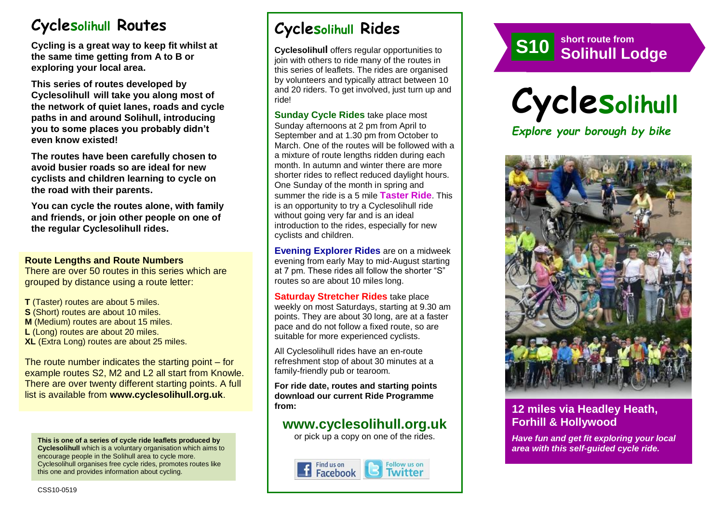# **Cyclesolihull Routes**

**Cycling is a great way to keep fit whilst at the same time getting from A to B or exploring your local area.** 

**This series of routes developed by Cyclesolihull will take you along most of the network of quiet lanes, roads and cycle paths in and around Solihull, introducing you to some places you probably didn't even know existed!**

**The routes have been carefully chosen to avoid busier roads so are ideal for new cyclists and children learning to cycle on the road with their parents.** 

**You can cycle the routes alone, with family and friends, or join other people on one of the regular Cyclesolihull rides.**

#### **Route Lengths and Route Numbers**

There are over 50 routes in this series which are grouped by distance using a route letter:

**T** (Taster) routes are about 5 miles. **S** (Short) routes are about 10 miles. **M** (Medium) routes are about 15 miles. **L** (Long) routes are about 20 miles. **XL** (Extra Long) routes are about 25 miles.

The route number indicates the starting point – for example routes S2, M2 and L2 all start from Knowle. There are over twenty different starting points. A full list is available from **www.cyclesolihull.org.uk**.

**This is one of a series of cycle ride leaflets produced by Cyclesolihull** which is a voluntary organisation which aims to encourage people in the Solihull area to cycle more. Cyclesolihull organises free cycle rides, promotes routes like this one and provides information about cycling.

# **Cyclesolihull Rides**

**Cyclesolihull** offers regular opportunities to join with others to ride many of the routes in this series of leaflets. The rides are organised by volunteers and typically attract between 10 and 20 riders. To get involved, just turn up and ride!

**Sunday Cycle Rides** take place most Sunday afternoons at 2 pm from April to September and at 1.30 pm from October to March. One of the routes will be followed with a a mixture of route lengths ridden during each month. In autumn and winter there are more shorter rides to reflect reduced daylight hours. One Sunday of the month in spring and summer the ride is a 5 mile **Taster Ride**. This is an opportunity to try a Cyclesolihull ride without going very far and is an ideal introduction to the rides, especially for new cyclists and children.

**Evening Explorer Rides** are on a midweek evening from early May to mid-August starting at 7 pm. These rides all follow the shorter "S" routes so are about 10 miles long.

**Saturday Stretcher Rides** take place weekly on most Saturdays, starting at 9.30 am points. They are about 30 long, are at a faster pace and do not follow a fixed route, so are suitable for more experienced cyclists.

All Cyclesolihull rides have an en-route refreshment stop of about 30 minutes at a family-friendly pub or tearoom.

**For ride date, routes and starting points download our current Ride Programme from:** 

## **www.cyclesolihull.org.uk**

or pick up a copy on one of the rides.







### **12 miles via Headley Heath, Forhill & Hollywood**

*Have fun and get fit exploring your local area with this self-guided cycle ride.*